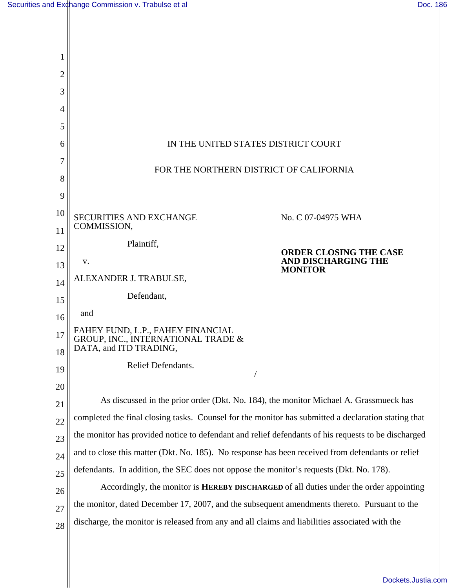| 2        |                                                                                                              |                                       |
|----------|--------------------------------------------------------------------------------------------------------------|---------------------------------------|
| 3        |                                                                                                              |                                       |
| 4        |                                                                                                              |                                       |
| 5        |                                                                                                              |                                       |
| 6        | IN THE UNITED STATES DISTRICT COURT                                                                          |                                       |
|          |                                                                                                              |                                       |
| 8        | FOR THE NORTHERN DISTRICT OF CALIFORNIA                                                                      |                                       |
| 9        |                                                                                                              |                                       |
| 10       | <b>SECURITIES AND EXCHANGE</b>                                                                               | No. C 07-04975 WHA                    |
| 11       | COMMISSION,                                                                                                  |                                       |
| 12       | Plaintiff,                                                                                                   | <b>ORDER CLOSING THE CASE</b>         |
| 13       | v.                                                                                                           | AND DISCHARGING THE<br><b>MONITOR</b> |
| 14       | ALEXANDER J. TRABULSE,                                                                                       |                                       |
| 15       | Defendant,                                                                                                   |                                       |
| 16       | and                                                                                                          |                                       |
| 17<br>18 | FAHEY FUND, L.P., FAHEY FINANCIAL<br><b>GROUP, INC., INTERNATIONAL TRADE &amp;</b><br>DATA, and ITD TRADING, |                                       |
| 19       | Relief Defendants.                                                                                           |                                       |
| 20       |                                                                                                              |                                       |
| 21       | As discussed in the prior order (Dkt. No. 184), the monitor Michael A. Grassmueck has                        |                                       |
| 22       | completed the final closing tasks. Counsel for the monitor has submitted a declaration stating that          |                                       |
| 23       | the monitor has provided notice to defendant and relief defendants of his requests to be discharged          |                                       |
| 24       | and to close this matter (Dkt. No. 185). No response has been received from defendants or relief             |                                       |
| 25       | defendants. In addition, the SEC does not oppose the monitor's requests (Dkt. No. 178).                      |                                       |
| 26       | Accordingly, the monitor is <b>HEREBY DISCHARGED</b> of all duties under the order appointing                |                                       |
| 27       | the monitor, dated December 17, 2007, and the subsequent amendments thereto. Pursuant to the                 |                                       |
| 28       | discharge, the monitor is released from any and all claims and liabilities associated with the               |                                       |